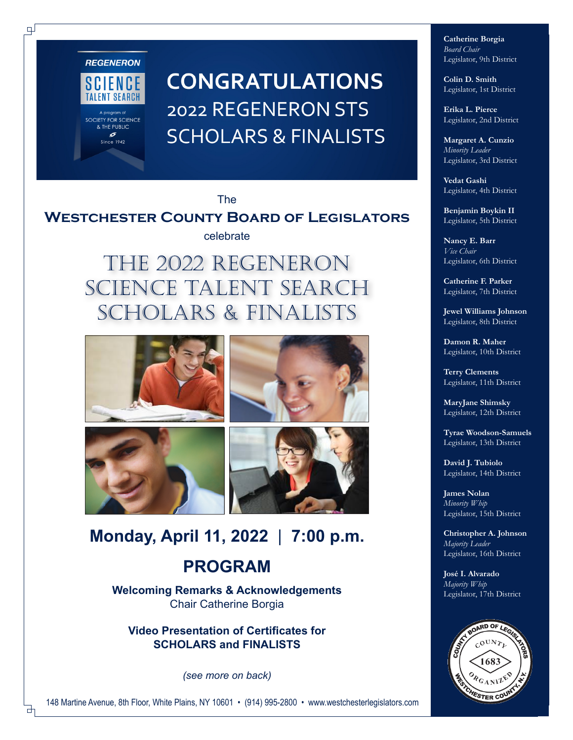

SOCIETY FOR SCIENCE<br>& THE PUBLIC

6 Since  $1942$ 

 $\Box$ 

**CONGRATULATIONS** 2022 REGENERON STS **SCHOLARS & FINALISTS** 

The

# **Westchester County Board of Legislators**

celebrate

The 2022 Regeneron Science Talent search SCHOLARS & Finalists









# **Monday, April 11, 2022** | **7:00 p.m.**

# **PROGRAM**

**Welcoming Remarks & Acknowledgements** Chair Catherine Borgia

**Video Presentation of Certificates for SCHOLARS and FINALISTS** 

*(see more on back)*

**Catherine Borgia** *Board Chair* Legislator, 9th District

**Colin D. Smith** Legislator, 1st District

**Erika L. Pierce** Legislator, 2nd District

**Margaret A. Cunzio** *Minority Leader* Legislator, 3rd District

**Vedat Gashi** Legislator, 4th District

**Benjamin Boykin II** Legislator, 5th District

**Nancy E. Barr** *Vice Chair* Legislator, 6th District

**Catherine F. Parker** Legislator, 7th District

**Jewel Williams Johnson** Legislator, 8th District

**Damon R. Maher** Legislator, 10th District

**Terry Clements** Legislator, 11th District

**MaryJane Shimsky** Legislator, 12th District

**Tyrae Woodson-Samuels** Legislator, 13th District

**David J. Tubiolo** Legislator, 14th District

**James Nolan** *Minority Whip* Legislator, 15th District

**Christopher A. Johnson** *Majority Leader* Legislator, 16th District

**José I. Alvarado** *Majority Whip* Legislator, 17th District



148 Martine Avenue, 8th Floor, White Plains, NY 10601 • (914) 995-2800 • www.westchesterlegislators.com

₫